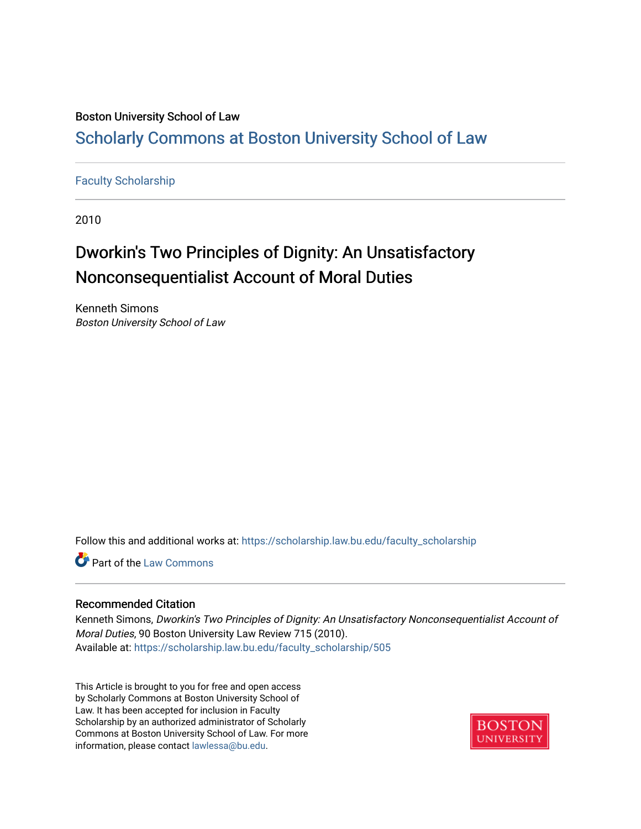## Boston University School of Law

## [Scholarly Commons at Boston University School of Law](https://scholarship.law.bu.edu/)

### [Faculty Scholarship](https://scholarship.law.bu.edu/faculty_scholarship)

2010

# Dworkin's Two Principles of Dignity: An Unsatisfactory Nonconsequentialist Account of Moral Duties

Kenneth Simons Boston University School of Law

Follow this and additional works at: [https://scholarship.law.bu.edu/faculty\\_scholarship](https://scholarship.law.bu.edu/faculty_scholarship?utm_source=scholarship.law.bu.edu%2Ffaculty_scholarship%2F505&utm_medium=PDF&utm_campaign=PDFCoverPages)

Part of the [Law Commons](http://network.bepress.com/hgg/discipline/578?utm_source=scholarship.law.bu.edu%2Ffaculty_scholarship%2F505&utm_medium=PDF&utm_campaign=PDFCoverPages)

### Recommended Citation

Kenneth Simons, Dworkin's Two Principles of Dignity: An Unsatisfactory Nonconsequentialist Account of Moral Duties, 90 Boston University Law Review 715 (2010). Available at: [https://scholarship.law.bu.edu/faculty\\_scholarship/505](https://scholarship.law.bu.edu/faculty_scholarship/505?utm_source=scholarship.law.bu.edu%2Ffaculty_scholarship%2F505&utm_medium=PDF&utm_campaign=PDFCoverPages) 

This Article is brought to you for free and open access by Scholarly Commons at Boston University School of Law. It has been accepted for inclusion in Faculty Scholarship by an authorized administrator of Scholarly Commons at Boston University School of Law. For more information, please contact [lawlessa@bu.edu.](mailto:lawlessa@bu.edu)

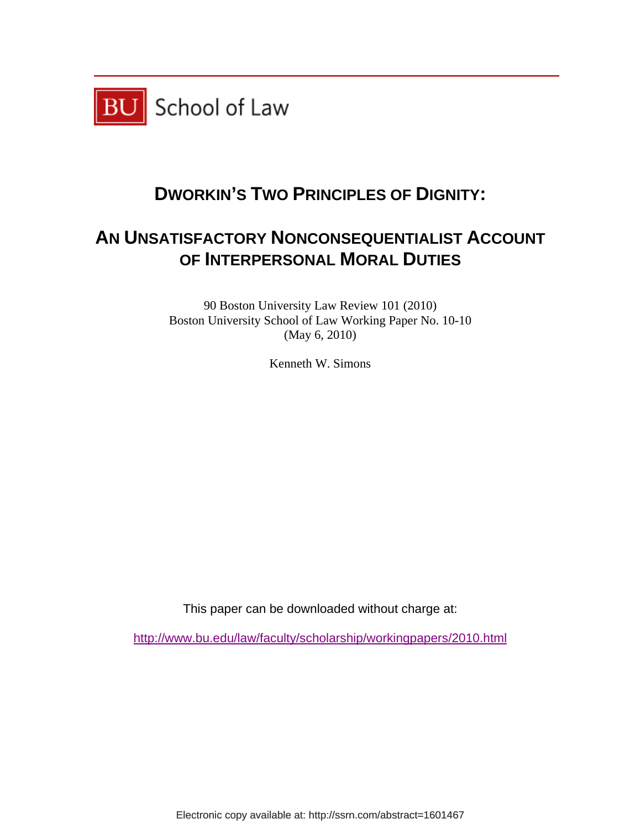

## **DWORKIN'S TWO PRINCIPLES OF DIGNITY:**

## **AN UNSATISFACTORY NONCONSEQUENTIALIST ACCOUNT OF INTERPERSONAL MORAL DUTIES**

90 Boston University Law Review 101 (2010) Boston University School of Law Working Paper No. 10-10 (May 6, 2010)

Kenneth W. Simons

This paper can be downloaded without charge at:

http://www.bu.edu/law/faculty/scholarship/workingpapers/2010.html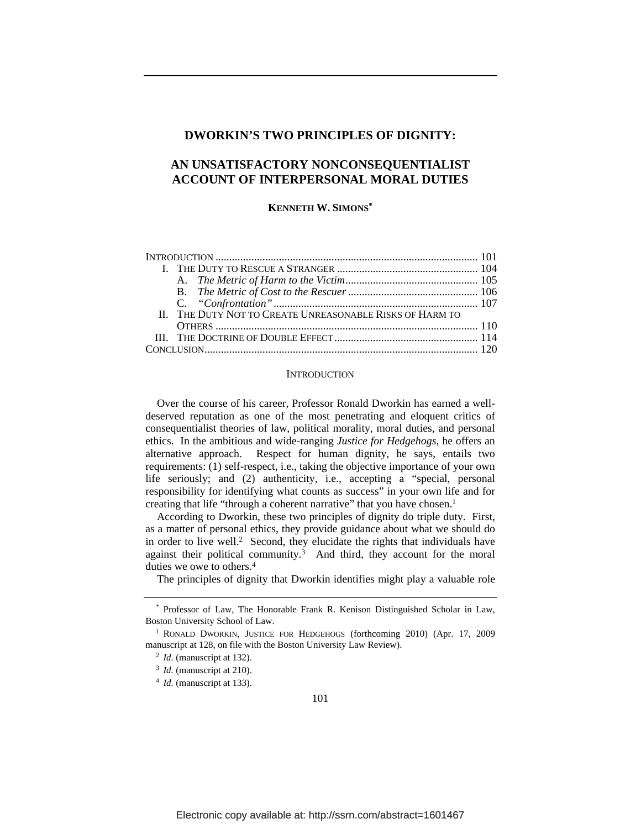#### **DWORKIN'S TWO PRINCIPLES OF DIGNITY:**

### **AN UNSATISFACTORY NONCONSEQUENTIALIST ACCOUNT OF INTERPERSONAL MORAL DUTIES**

**KENNETH W. SIMONS\***

| II. THE DUTY NOT TO CREATE UNREASONABLE RISKS OF HARM TO |  |
|----------------------------------------------------------|--|
|                                                          |  |
|                                                          |  |
|                                                          |  |

#### **INTRODUCTION**

Over the course of his career, Professor Ronald Dworkin has earned a welldeserved reputation as one of the most penetrating and eloquent critics of consequentialist theories of law, political morality, moral duties, and personal ethics. In the ambitious and wide-ranging *Justice for Hedgehogs*, he offers an alternative approach. Respect for human dignity, he says, entails two requirements: (1) self-respect, i.e., taking the objective importance of your own life seriously; and (2) authenticity, i.e., accepting a "special, personal responsibility for identifying what counts as success" in your own life and for creating that life "through a coherent narrative" that you have chosen.<sup>1</sup>

According to Dworkin, these two principles of dignity do triple duty. First, as a matter of personal ethics, they provide guidance about what we should do in order to live well.2 Second, they elucidate the rights that individuals have against their political community.<sup>3</sup> And third, they account for the moral duties we owe to others.4

The principles of dignity that Dworkin identifies might play a valuable role

<sup>\*</sup> Professor of Law, The Honorable Frank R. Kenison Distinguished Scholar in Law, Boston University School of Law.

<sup>&</sup>lt;sup>1</sup> RONALD DWORKIN, JUSTICE FOR HEDGEHOGS (forthcoming 2010) (Apr. 17, 2009 manuscript at 128, on file with the Boston University Law Review).<br><sup>2</sup> *Id.* (manuscript at 132).

<sup>3</sup> *Id.* (manuscript at 210).

<sup>4</sup> *Id.* (manuscript at 133).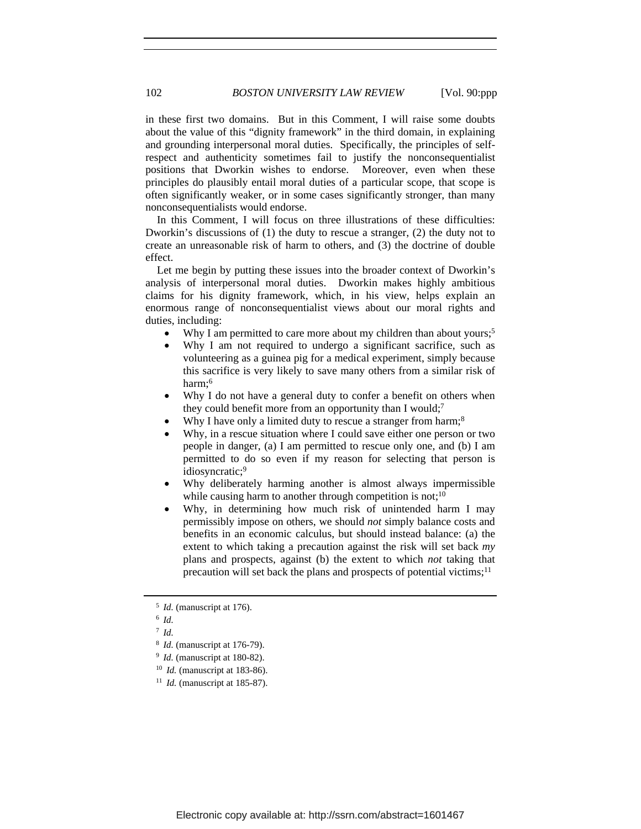in these first two domains. But in this Comment, I will raise some doubts about the value of this "dignity framework" in the third domain, in explaining and grounding interpersonal moral duties. Specifically, the principles of selfrespect and authenticity sometimes fail to justify the nonconsequentialist positions that Dworkin wishes to endorse. Moreover, even when these principles do plausibly entail moral duties of a particular scope, that scope is often significantly weaker, or in some cases significantly stronger, than many nonconsequentialists would endorse.

In this Comment, I will focus on three illustrations of these difficulties: Dworkin's discussions of (1) the duty to rescue a stranger, (2) the duty not to create an unreasonable risk of harm to others, and (3) the doctrine of double effect.

Let me begin by putting these issues into the broader context of Dworkin's analysis of interpersonal moral duties. Dworkin makes highly ambitious claims for his dignity framework, which, in his view, helps explain an enormous range of nonconsequentialist views about our moral rights and duties, including:

- Why I am permitted to care more about my children than about yours;<sup>5</sup>
- Why I am not required to undergo a significant sacrifice, such as volunteering as a guinea pig for a medical experiment, simply because this sacrifice is very likely to save many others from a similar risk of harm;6
- Why I do not have a general duty to confer a benefit on others when they could benefit more from an opportunity than I would;<sup>7</sup>
- Why I have only a limited duty to rescue a stranger from harm;<sup>8</sup>
- Why, in a rescue situation where I could save either one person or two people in danger, (a) I am permitted to rescue only one, and (b) I am permitted to do so even if my reason for selecting that person is idiosyncratic;9
- Why deliberately harming another is almost always impermissible while causing harm to another through competition is not; $10$
- Why, in determining how much risk of unintended harm I may permissibly impose on others, we should *not* simply balance costs and benefits in an economic calculus, but should instead balance: (a) the extent to which taking a precaution against the risk will set back *my* plans and prospects, against (b) the extent to which *not* taking that precaution will set back the plans and prospects of potential victims;<sup>11</sup>

<sup>5</sup> *Id.* (manuscript at 176).

<sup>6</sup> *Id.*

<sup>7</sup> *Id.*

<sup>8</sup> *Id.* (manuscript at 176-79).

<sup>9</sup> *Id.* (manuscript at 180-82).

<sup>10</sup> *Id.* (manuscript at 183-86).

<sup>&</sup>lt;sup>11</sup> *Id.* (manuscript at 185-87).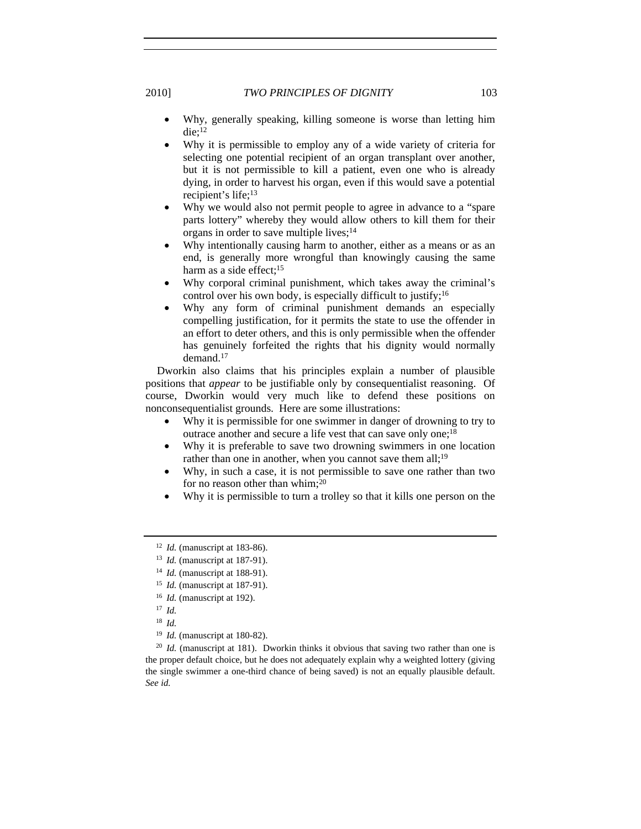2010] *TWO PRINCIPLES OF DIGNITY* 103

- Why, generally speaking, killing someone is worse than letting him die;12
- Why it is permissible to employ any of a wide variety of criteria for selecting one potential recipient of an organ transplant over another, but it is not permissible to kill a patient, even one who is already dying, in order to harvest his organ, even if this would save a potential recipient's life;<sup>13</sup>
- Why we would also not permit people to agree in advance to a "spare parts lottery" whereby they would allow others to kill them for their organs in order to save multiple lives;14
- Why intentionally causing harm to another, either as a means or as an end, is generally more wrongful than knowingly causing the same harm as a side effect;<sup>15</sup>
- Why corporal criminal punishment, which takes away the criminal's control over his own body, is especially difficult to justify;16
- Why any form of criminal punishment demands an especially compelling justification, for it permits the state to use the offender in an effort to deter others, and this is only permissible when the offender has genuinely forfeited the rights that his dignity would normally demand.17

Dworkin also claims that his principles explain a number of plausible positions that *appear* to be justifiable only by consequentialist reasoning. Of course, Dworkin would very much like to defend these positions on nonconsequentialist grounds. Here are some illustrations:

- Why it is permissible for one swimmer in danger of drowning to try to outrace another and secure a life vest that can save only one;18
- Why it is preferable to save two drowning swimmers in one location rather than one in another, when you cannot save them all;<sup>19</sup>
- Why, in such a case, it is not permissible to save one rather than two for no reason other than whim;<sup>20</sup>
- Why it is permissible to turn a trolley so that it kills one person on the

- <sup>15</sup> *Id.* (manuscript at 187-91).
- <sup>16</sup> *Id.* (manuscript at 192).

<sup>12</sup> *Id.* (manuscript at 183-86).

<sup>13</sup> *Id.* (manuscript at 187-91).

<sup>14</sup> *Id.* (manuscript at 188-91).

<sup>17</sup> *Id.*

<sup>18</sup> *Id.*

<sup>19</sup> *Id.* (manuscript at 180-82).

<sup>&</sup>lt;sup>20</sup> *Id.* (manuscript at 181). Dworkin thinks it obvious that saving two rather than one is the proper default choice, but he does not adequately explain why a weighted lottery (giving the single swimmer a one-third chance of being saved) is not an equally plausible default. *See id.*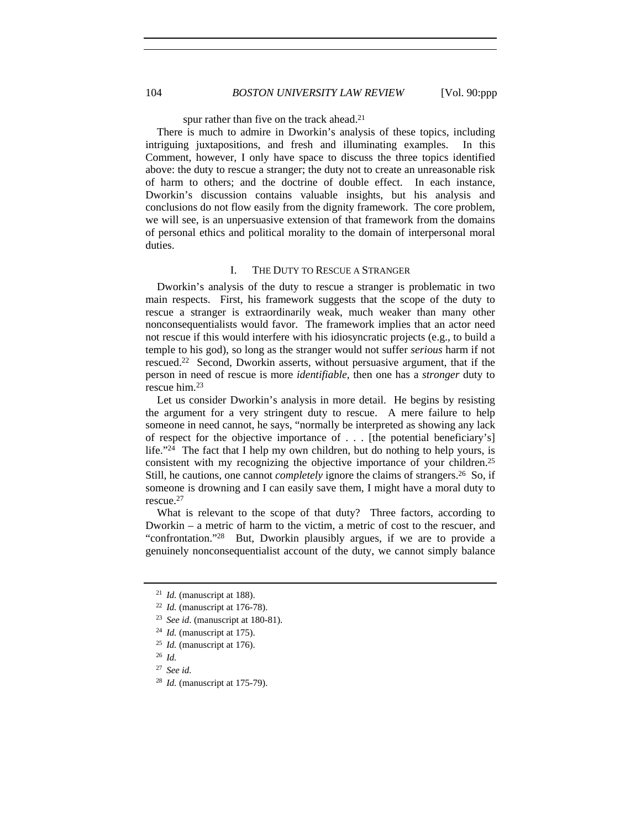spur rather than five on the track ahead.<sup>21</sup>

There is much to admire in Dworkin's analysis of these topics, including intriguing juxtapositions, and fresh and illuminating examples. In this Comment, however, I only have space to discuss the three topics identified above: the duty to rescue a stranger; the duty not to create an unreasonable risk of harm to others; and the doctrine of double effect. In each instance, Dworkin's discussion contains valuable insights, but his analysis and conclusions do not flow easily from the dignity framework. The core problem, we will see, is an unpersuasive extension of that framework from the domains of personal ethics and political morality to the domain of interpersonal moral duties.

#### I. THE DUTY TO RESCUE A STRANGER

Dworkin's analysis of the duty to rescue a stranger is problematic in two main respects. First, his framework suggests that the scope of the duty to rescue a stranger is extraordinarily weak, much weaker than many other nonconsequentialists would favor. The framework implies that an actor need not rescue if this would interfere with his idiosyncratic projects (e.g., to build a temple to his god), so long as the stranger would not suffer *serious* harm if not rescued.22 Second, Dworkin asserts, without persuasive argument, that if the person in need of rescue is more *identifiable*, then one has a *stronger* duty to rescue him.23

Let us consider Dworkin's analysis in more detail. He begins by resisting the argument for a very stringent duty to rescue. A mere failure to help someone in need cannot, he says, "normally be interpreted as showing any lack of respect for the objective importance of . . . [the potential beneficiary's] life."<sup>24</sup> The fact that I help my own children, but do nothing to help yours, is consistent with my recognizing the objective importance of your children.25 Still, he cautions, one cannot *completely* ignore the claims of strangers.26 So, if someone is drowning and I can easily save them, I might have a moral duty to rescue.27

What is relevant to the scope of that duty? Three factors, according to Dworkin – a metric of harm to the victim, a metric of cost to the rescuer, and "confrontation."28 But, Dworkin plausibly argues, if we are to provide a genuinely nonconsequentialist account of the duty, we cannot simply balance

<sup>21</sup> *Id.* (manuscript at 188).

<sup>22</sup> *Id.* (manuscript at 176-78).

<sup>23</sup> *See id.* (manuscript at 180-81).

<sup>24</sup> *Id.* (manuscript at 175).

<sup>25</sup> *Id.* (manuscript at 176).

<sup>26</sup> *Id.*

<sup>27</sup> *See id.*

<sup>28</sup> *Id.* (manuscript at 175-79).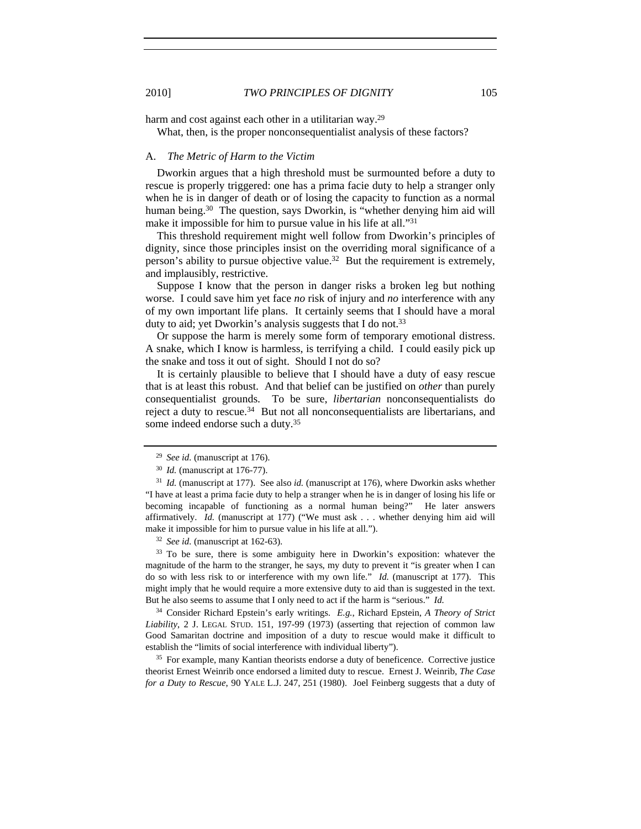harm and cost against each other in a utilitarian way.<sup>29</sup>

What, then, is the proper nonconsequentialist analysis of these factors?

#### A. *The Metric of Harm to the Victim*

Dworkin argues that a high threshold must be surmounted before a duty to rescue is properly triggered: one has a prima facie duty to help a stranger only when he is in danger of death or of losing the capacity to function as a normal human being.<sup>30</sup> The question, says Dworkin, is "whether denying him aid will make it impossible for him to pursue value in his life at all."31

This threshold requirement might well follow from Dworkin's principles of dignity, since those principles insist on the overriding moral significance of a person's ability to pursue objective value.<sup>32</sup> But the requirement is extremely, and implausibly, restrictive.

Suppose I know that the person in danger risks a broken leg but nothing worse. I could save him yet face *no* risk of injury and *no* interference with any of my own important life plans. It certainly seems that I should have a moral duty to aid; yet Dworkin's analysis suggests that I do not.<sup>33</sup>

Or suppose the harm is merely some form of temporary emotional distress. A snake, which I know is harmless, is terrifying a child. I could easily pick up the snake and toss it out of sight. Should I not do so?

It is certainly plausible to believe that I should have a duty of easy rescue that is at least this robust. And that belief can be justified on *other* than purely consequentialist grounds. To be sure, *libertarian* nonconsequentialists do reject a duty to rescue.34 But not all nonconsequentialists are libertarians, and some indeed endorse such a duty.35

<sup>33</sup> To be sure, there is some ambiguity here in Dworkin's exposition: whatever the magnitude of the harm to the stranger, he says, my duty to prevent it "is greater when I can do so with less risk to or interference with my own life." *Id.* (manuscript at 177). This might imply that he would require a more extensive duty to aid than is suggested in the text. But he also seems to assume that I only need to act if the harm is "serious." *Id.*

<sup>34</sup> Consider Richard Epstein's early writings. *E.g.*, Richard Epstein, *A Theory of Strict Liability*, 2 J. LEGAL STUD. 151, 197-99 (1973) (asserting that rejection of common law Good Samaritan doctrine and imposition of a duty to rescue would make it difficult to establish the "limits of social interference with individual liberty").

<sup>35</sup> For example, many Kantian theorists endorse a duty of beneficence. Corrective justice theorist Ernest Weinrib once endorsed a limited duty to rescue. Ernest J. Weinrib, *The Case for a Duty to Rescue*, 90 YALE L.J. 247, 251 (1980). Joel Feinberg suggests that a duty of

<sup>29</sup> *See id.* (manuscript at 176).

<sup>30</sup> *Id.* (manuscript at 176-77). 31 *Id.* (manuscript at 177). See also *id.* (manuscript at 176), where Dworkin asks whether "I have at least a prima facie duty to help a stranger when he is in danger of losing his life or becoming incapable of functioning as a normal human being?" He later answers affirmatively. *Id.* (manuscript at 177) ("We must ask . . . whether denying him aid will make it impossible for him to pursue value in his life at all."). 32 *See id.* (manuscript at 162-63).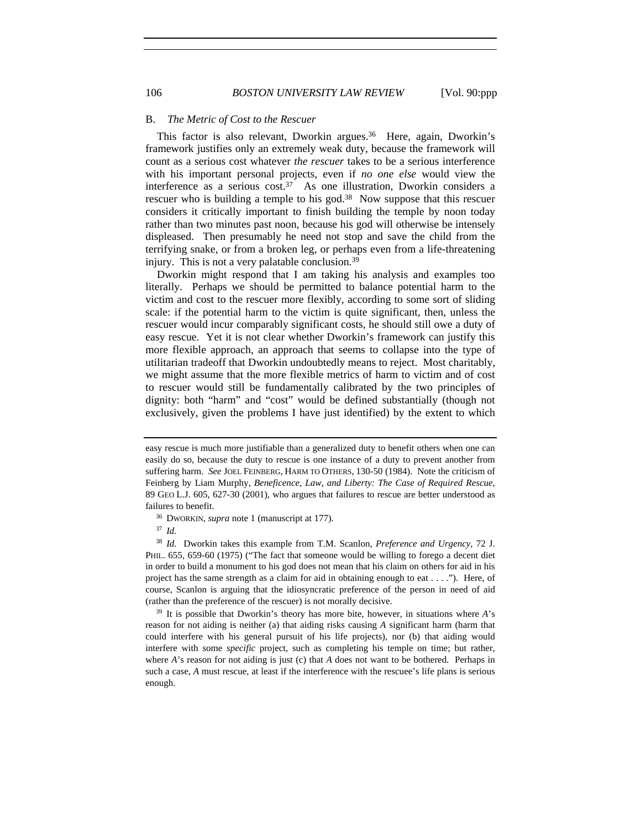#### B. *The Metric of Cost to the Rescuer*

This factor is also relevant, Dworkin argues.<sup>36</sup> Here, again, Dworkin's framework justifies only an extremely weak duty, because the framework will count as a serious cost whatever *the rescuer* takes to be a serious interference with his important personal projects, even if *no one else* would view the interference as a serious cost.<sup>37</sup> As one illustration, Dworkin considers a rescuer who is building a temple to his god.<sup>38</sup> Now suppose that this rescuer considers it critically important to finish building the temple by noon today rather than two minutes past noon, because his god will otherwise be intensely displeased. Then presumably he need not stop and save the child from the terrifying snake, or from a broken leg, or perhaps even from a life-threatening injury. This is not a very palatable conclusion.39

Dworkin might respond that I am taking his analysis and examples too literally. Perhaps we should be permitted to balance potential harm to the victim and cost to the rescuer more flexibly, according to some sort of sliding scale: if the potential harm to the victim is quite significant, then, unless the rescuer would incur comparably significant costs, he should still owe a duty of easy rescue. Yet it is not clear whether Dworkin's framework can justify this more flexible approach, an approach that seems to collapse into the type of utilitarian tradeoff that Dworkin undoubtedly means to reject. Most charitably, we might assume that the more flexible metrics of harm to victim and of cost to rescuer would still be fundamentally calibrated by the two principles of dignity: both "harm" and "cost" would be defined substantially (though not exclusively, given the problems I have just identified) by the extent to which

<sup>37</sup> *Id.*

<sup>38</sup> *Id.* Dworkin takes this example from T.M. Scanlon, *Preference and Urgency*, 72 J. PHIL. 655, 659-60 (1975) ("The fact that someone would be willing to forego a decent diet in order to build a monument to his god does not mean that his claim on others for aid in his project has the same strength as a claim for aid in obtaining enough to eat  $\dots$ . There, of course, Scanlon is arguing that the idiosyncratic preference of the person in need of aid (rather than the preference of the rescuer) is not morally decisive. 39 It is possible that Dworkin's theory has more bite, however, in situations where *A*'s

reason for not aiding is neither (a) that aiding risks causing *A* significant harm (harm that could interfere with his general pursuit of his life projects), nor (b) that aiding would interfere with some *specific* project, such as completing his temple on time; but rather, where *A*'s reason for not aiding is just (c) that *A* does not want to be bothered. Perhaps in such a case, *A* must rescue, at least if the interference with the rescuee's life plans is serious enough.

easy rescue is much more justifiable than a generalized duty to benefit others when one can easily do so, because the duty to rescue is one instance of a duty to prevent another from suffering harm. *See* JOEL FEINBERG, HARM TO OTHERS, 130-50 (1984). Note the criticism of Feinberg by Liam Murphy, *Beneficence, Law, and Liberty: The Case of Required Rescue*, 89 GEO L.J. 605, 627-30 (2001), who argues that failures to rescue are better understood as failures to benefit.

<sup>36</sup> DWORKIN, *supra* note 1 (manuscript at 177).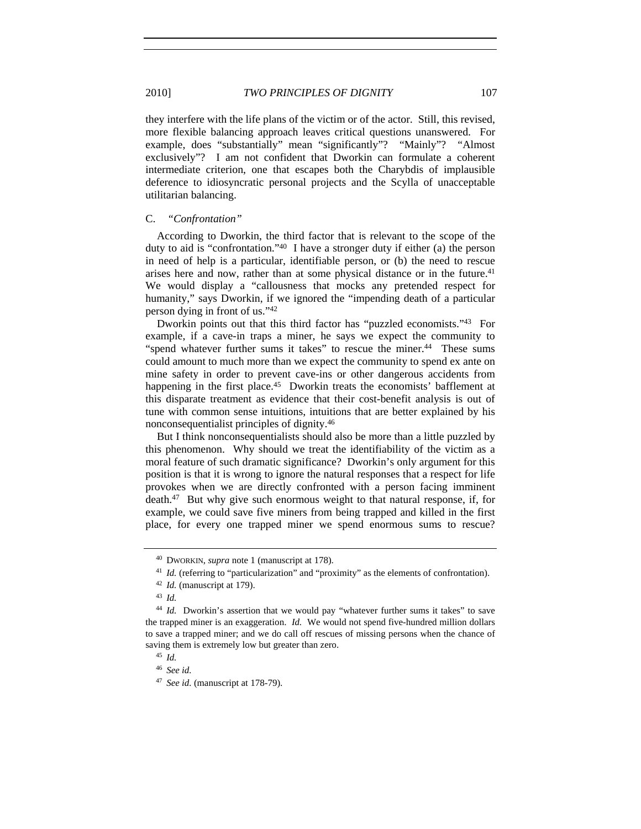they interfere with the life plans of the victim or of the actor. Still, this revised, more flexible balancing approach leaves critical questions unanswered. For example, does "substantially" mean "significantly"? "Mainly"? "Almost exclusively"? I am not confident that Dworkin can formulate a coherent intermediate criterion, one that escapes both the Charybdis of implausible deference to idiosyncratic personal projects and the Scylla of unacceptable utilitarian balancing.

#### C. *"Confrontation"*

According to Dworkin, the third factor that is relevant to the scope of the duty to aid is "confrontation."40 I have a stronger duty if either (a) the person in need of help is a particular, identifiable person, or (b) the need to rescue arises here and now, rather than at some physical distance or in the future.41 We would display a "callousness that mocks any pretended respect for humanity," says Dworkin, if we ignored the "impending death of a particular person dying in front of us."42

Dworkin points out that this third factor has "puzzled economists."43 For example, if a cave-in traps a miner, he says we expect the community to "spend whatever further sums it takes" to rescue the miner.<sup>44</sup> These sums could amount to much more than we expect the community to spend ex ante on mine safety in order to prevent cave-ins or other dangerous accidents from happening in the first place.<sup>45</sup> Dworkin treats the economists' bafflement at this disparate treatment as evidence that their cost-benefit analysis is out of tune with common sense intuitions, intuitions that are better explained by his nonconsequentialist principles of dignity.46

But I think nonconsequentialists should also be more than a little puzzled by this phenomenon. Why should we treat the identifiability of the victim as a moral feature of such dramatic significance? Dworkin's only argument for this position is that it is wrong to ignore the natural responses that a respect for life provokes when we are directly confronted with a person facing imminent death.47 But why give such enormous weight to that natural response, if, for example, we could save five miners from being trapped and killed in the first place, for every one trapped miner we spend enormous sums to rescue?

<sup>40</sup> DWORKIN, *supra* note 1 (manuscript at 178).

<sup>&</sup>lt;sup>41</sup> *Id.* (referring to "particularization" and "proximity" as the elements of confrontation).

<sup>42</sup> *Id.* (manuscript at 179).

<sup>43</sup> *Id.*

<sup>44</sup> *Id.* Dworkin's assertion that we would pay "whatever further sums it takes" to save the trapped miner is an exaggeration. *Id.* We would not spend five-hundred million dollars to save a trapped miner; and we do call off rescues of missing persons when the chance of saving them is extremely low but greater than zero. 45 *Id.*

<sup>46</sup> *See id.*

<sup>47</sup> *See id.* (manuscript at 178-79).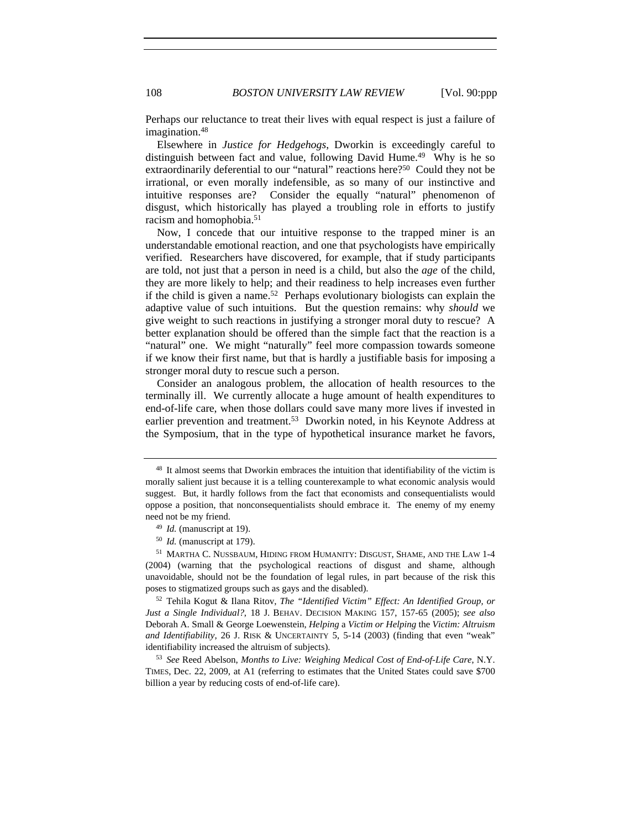Perhaps our reluctance to treat their lives with equal respect is just a failure of imagination.<sup>48</sup>

Elsewhere in *Justice for Hedgehogs*, Dworkin is exceedingly careful to distinguish between fact and value, following David Hume.49 Why is he so extraordinarily deferential to our "natural" reactions here?<sup>50</sup> Could they not be irrational, or even morally indefensible, as so many of our instinctive and intuitive responses are? Consider the equally "natural" phenomenon of disgust, which historically has played a troubling role in efforts to justify racism and homophobia.51

Now, I concede that our intuitive response to the trapped miner is an understandable emotional reaction, and one that psychologists have empirically verified. Researchers have discovered, for example, that if study participants are told, not just that a person in need is a child, but also the *age* of the child, they are more likely to help; and their readiness to help increases even further if the child is given a name.<sup>52</sup> Perhaps evolutionary biologists can explain the adaptive value of such intuitions. But the question remains: why *should* we give weight to such reactions in justifying a stronger moral duty to rescue? A better explanation should be offered than the simple fact that the reaction is a "natural" one. We might "naturally" feel more compassion towards someone if we know their first name, but that is hardly a justifiable basis for imposing a stronger moral duty to rescue such a person.

Consider an analogous problem, the allocation of health resources to the terminally ill. We currently allocate a huge amount of health expenditures to end-of-life care, when those dollars could save many more lives if invested in earlier prevention and treatment.<sup>53</sup> Dworkin noted, in his Keynote Address at the Symposium, that in the type of hypothetical insurance market he favors,

<sup>48</sup> It almost seems that Dworkin embraces the intuition that identifiability of the victim is morally salient just because it is a telling counterexample to what economic analysis would suggest. But, it hardly follows from the fact that economists and consequentialists would oppose a position, that nonconsequentialists should embrace it. The enemy of my enemy need not be my friend. 49 *Id.* (manuscript at 19).

<sup>50</sup> *Id.* (manuscript at 179).

<sup>51</sup> MARTHA C. NUSSBAUM, HIDING FROM HUMANITY: DISGUST, SHAME, AND THE LAW 1-4 (2004) (warning that the psychological reactions of disgust and shame, although unavoidable, should not be the foundation of legal rules, in part because of the risk this poses to stigmatized groups such as gays and the disabled). 52 Tehila Kogut & Ilana Ritov, *The "Identified Victim" Effect: An Identified Group, or* 

*Just a Single Individual?*, 18 J. BEHAV. DECISION MAKING 157, 157-65 (2005); *see also* Deborah A. Small & George Loewenstein, *Helping* a *Victim or Helping* the *Victim: Altruism and Identifiability*, 26 J. RISK & UNCERTAINTY 5, 5-14 (2003) (finding that even "weak" identifiability increased the altruism of subjects).

<sup>53</sup> *See* Reed Abelson, *Months to Live: Weighing Medical Cost of End-of-Life Care*, N.Y. TIMES, Dec. 22, 2009, at A1 (referring to estimates that the United States could save \$700 billion a year by reducing costs of end-of-life care).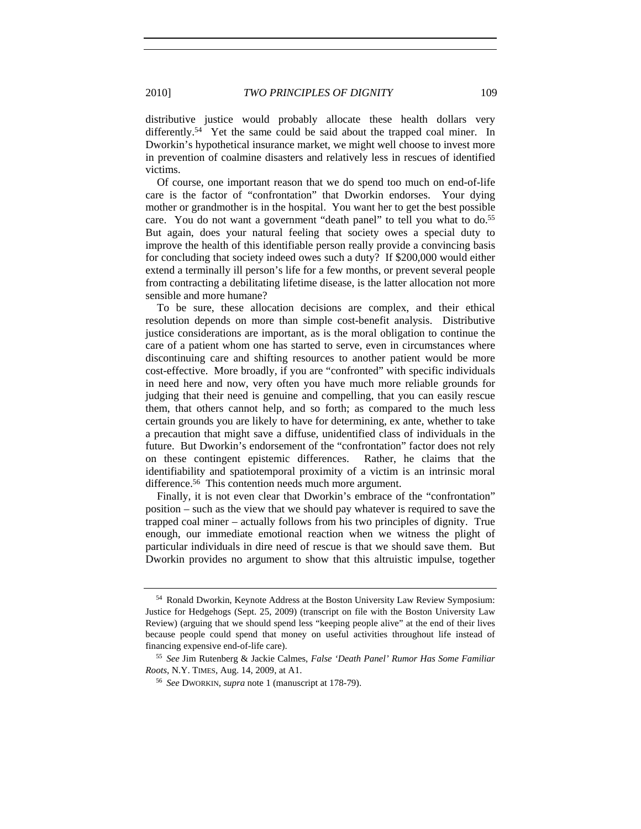distributive justice would probably allocate these health dollars very differently.<sup>54</sup> Yet the same could be said about the trapped coal miner. In Dworkin's hypothetical insurance market, we might well choose to invest more in prevention of coalmine disasters and relatively less in rescues of identified victims.

Of course, one important reason that we do spend too much on end-of-life care is the factor of "confrontation" that Dworkin endorses. Your dying mother or grandmother is in the hospital. You want her to get the best possible care. You do not want a government "death panel" to tell you what to do.<sup>55</sup> But again, does your natural feeling that society owes a special duty to improve the health of this identifiable person really provide a convincing basis for concluding that society indeed owes such a duty? If \$200,000 would either extend a terminally ill person's life for a few months, or prevent several people from contracting a debilitating lifetime disease, is the latter allocation not more sensible and more humane?

To be sure, these allocation decisions are complex, and their ethical resolution depends on more than simple cost-benefit analysis. Distributive justice considerations are important, as is the moral obligation to continue the care of a patient whom one has started to serve, even in circumstances where discontinuing care and shifting resources to another patient would be more cost-effective. More broadly, if you are "confronted" with specific individuals in need here and now, very often you have much more reliable grounds for judging that their need is genuine and compelling, that you can easily rescue them, that others cannot help, and so forth; as compared to the much less certain grounds you are likely to have for determining, ex ante, whether to take a precaution that might save a diffuse, unidentified class of individuals in the future. But Dworkin's endorsement of the "confrontation" factor does not rely on these contingent epistemic differences. Rather, he claims that the identifiability and spatiotemporal proximity of a victim is an intrinsic moral difference.<sup>56</sup> This contention needs much more argument.

Finally, it is not even clear that Dworkin's embrace of the "confrontation" position – such as the view that we should pay whatever is required to save the trapped coal miner – actually follows from his two principles of dignity. True enough, our immediate emotional reaction when we witness the plight of particular individuals in dire need of rescue is that we should save them. But Dworkin provides no argument to show that this altruistic impulse, together

<sup>54</sup> Ronald Dworkin, Keynote Address at the Boston University Law Review Symposium: Justice for Hedgehogs (Sept. 25, 2009) (transcript on file with the Boston University Law Review) (arguing that we should spend less "keeping people alive" at the end of their lives because people could spend that money on useful activities throughout life instead of financing expensive end-of-life care). 55 *See* Jim Rutenberg & Jackie Calmes, *False 'Death Panel' Rumor Has Some Familiar* 

*Roots*, N.Y. TIMES, Aug. 14, 2009, at A1.

<sup>56</sup> *See* DWORKIN, *supra* note 1 (manuscript at 178-79).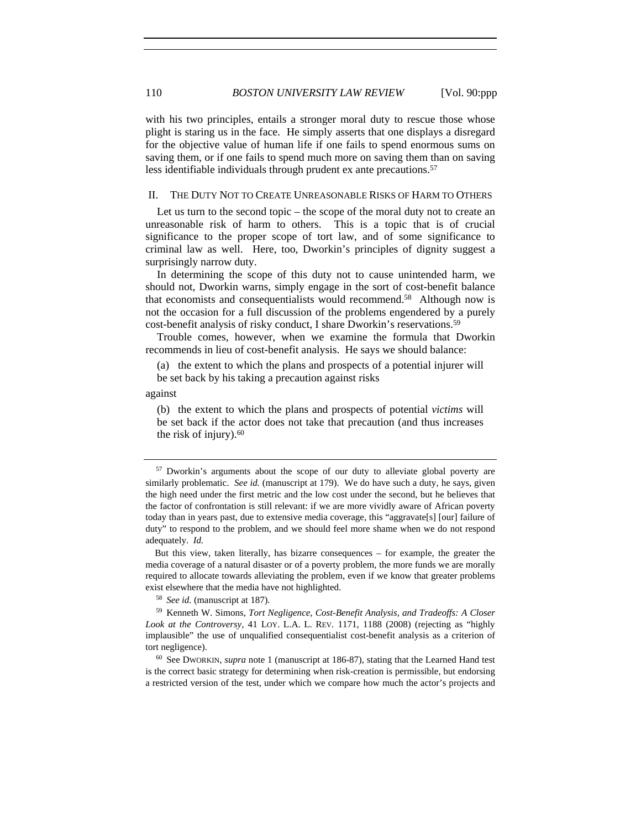with his two principles, entails a stronger moral duty to rescue those whose plight is staring us in the face. He simply asserts that one displays a disregard for the objective value of human life if one fails to spend enormous sums on saving them, or if one fails to spend much more on saving them than on saving less identifiable individuals through prudent ex ante precautions.<sup>57</sup>

#### II. THE DUTY NOT TO CREATE UNREASONABLE RISKS OF HARM TO OTHERS

Let us turn to the second topic – the scope of the moral duty not to create an unreasonable risk of harm to others. This is a topic that is of crucial significance to the proper scope of tort law, and of some significance to criminal law as well. Here, too, Dworkin's principles of dignity suggest a surprisingly narrow duty.

In determining the scope of this duty not to cause unintended harm, we should not, Dworkin warns, simply engage in the sort of cost-benefit balance that economists and consequentialists would recommend.<sup>58</sup> Although now is not the occasion for a full discussion of the problems engendered by a purely cost-benefit analysis of risky conduct, I share Dworkin's reservations.59

Trouble comes, however, when we examine the formula that Dworkin recommends in lieu of cost-benefit analysis. He says we should balance:

(a) the extent to which the plans and prospects of a potential injurer will be set back by his taking a precaution against risks

against

(b) the extent to which the plans and prospects of potential *victims* will be set back if the actor does not take that precaution (and thus increases the risk of injury). $60$ 

 But this view, taken literally, has bizarre consequences – for example, the greater the media coverage of a natural disaster or of a poverty problem, the more funds we are morally required to allocate towards alleviating the problem, even if we know that greater problems exist elsewhere that the media have not highlighted.

<sup>58</sup> *See id.* (manuscript at 187).

<sup>59</sup> Kenneth W. Simons, *Tort Negligence, Cost-Benefit Analysis, and Tradeoffs: A Closer Look at the Controversy*, 41 LOY. L.A. L. REV. 1171, 1188 (2008) (rejecting as "highly implausible" the use of unqualified consequentialist cost-benefit analysis as a criterion of tort negligence).

<sup>60</sup> See DWORKIN, *supra* note 1 (manuscript at 186-87), stating that the Learned Hand test is the correct basic strategy for determining when risk-creation is permissible, but endorsing a restricted version of the test, under which we compare how much the actor's projects and

<sup>&</sup>lt;sup>57</sup> Dworkin's arguments about the scope of our duty to alleviate global poverty are similarly problematic. *See id.* (manuscript at 179). We do have such a duty, he says, given the high need under the first metric and the low cost under the second, but he believes that the factor of confrontation is still relevant: if we are more vividly aware of African poverty today than in years past, due to extensive media coverage, this "aggravate[s] [our] failure of duty" to respond to the problem, and we should feel more shame when we do not respond adequately. *Id.*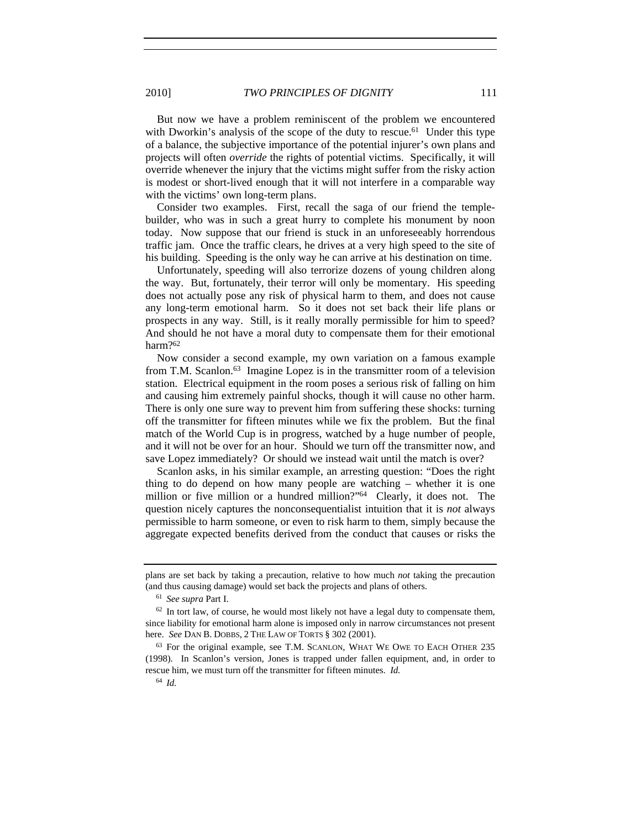2010] *TWO PRINCIPLES OF DIGNITY* 111

But now we have a problem reminiscent of the problem we encountered with Dworkin's analysis of the scope of the duty to rescue.<sup>61</sup> Under this type of a balance, the subjective importance of the potential injurer's own plans and projects will often *override* the rights of potential victims. Specifically, it will override whenever the injury that the victims might suffer from the risky action is modest or short-lived enough that it will not interfere in a comparable way with the victims' own long-term plans.

Consider two examples. First, recall the saga of our friend the templebuilder, who was in such a great hurry to complete his monument by noon today. Now suppose that our friend is stuck in an unforeseeably horrendous traffic jam. Once the traffic clears, he drives at a very high speed to the site of his building. Speeding is the only way he can arrive at his destination on time.

Unfortunately, speeding will also terrorize dozens of young children along the way. But, fortunately, their terror will only be momentary. His speeding does not actually pose any risk of physical harm to them, and does not cause any long-term emotional harm. So it does not set back their life plans or prospects in any way. Still, is it really morally permissible for him to speed? And should he not have a moral duty to compensate them for their emotional harm?62

Now consider a second example, my own variation on a famous example from T.M. Scanlon.63 Imagine Lopez is in the transmitter room of a television station. Electrical equipment in the room poses a serious risk of falling on him and causing him extremely painful shocks, though it will cause no other harm. There is only one sure way to prevent him from suffering these shocks: turning off the transmitter for fifteen minutes while we fix the problem. But the final match of the World Cup is in progress, watched by a huge number of people, and it will not be over for an hour. Should we turn off the transmitter now, and save Lopez immediately? Or should we instead wait until the match is over?

Scanlon asks, in his similar example, an arresting question: "Does the right thing to do depend on how many people are watching – whether it is one million or five million or a hundred million?"<sup>64</sup> Clearly, it does not. The question nicely captures the nonconsequentialist intuition that it is *not* always permissible to harm someone, or even to risk harm to them, simply because the aggregate expected benefits derived from the conduct that causes or risks the

plans are set back by taking a precaution, relative to how much *not* taking the precaution (and thus causing damage) would set back the projects and plans of others. 61 *See supra* Part I.

 $62$  In tort law, of course, he would most likely not have a legal duty to compensate them, since liability for emotional harm alone is imposed only in narrow circumstances not present here. *See* DAN B. DOBBS, 2 THE LAW OF TORTS § 302 (2001).

<sup>63</sup> For the original example, see T.M. SCANLON, WHAT WE OWE TO EACH OTHER 235 (1998). In Scanlon's version, Jones is trapped under fallen equipment, and, in order to rescue him, we must turn off the transmitter for fifteen minutes. *Id.*

<sup>64</sup> *Id.*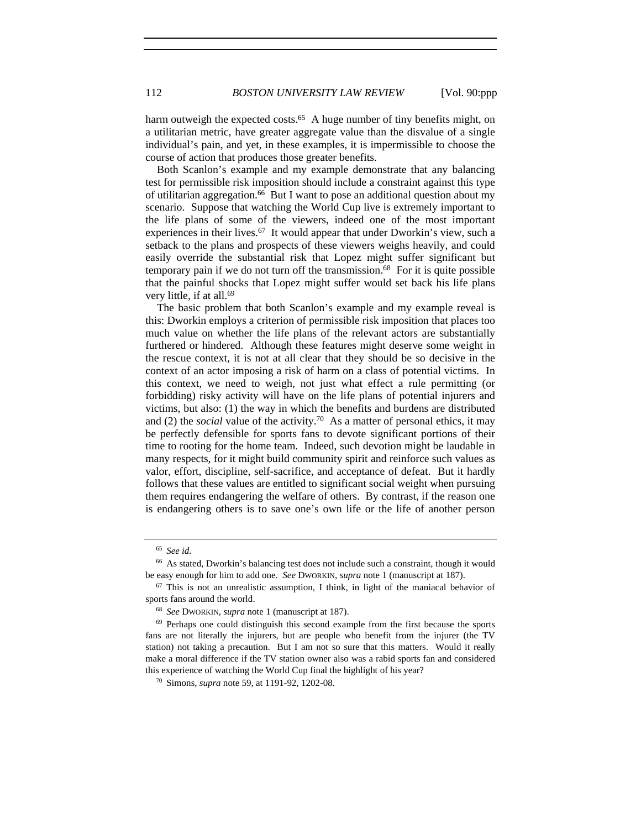harm outweigh the expected costs.<sup>65</sup> A huge number of tiny benefits might, on a utilitarian metric, have greater aggregate value than the disvalue of a single individual's pain, and yet, in these examples, it is impermissible to choose the course of action that produces those greater benefits.

Both Scanlon's example and my example demonstrate that any balancing test for permissible risk imposition should include a constraint against this type of utilitarian aggregation.<sup>66</sup> But I want to pose an additional question about my scenario. Suppose that watching the World Cup live is extremely important to the life plans of some of the viewers, indeed one of the most important experiences in their lives.<sup>67</sup> It would appear that under Dworkin's view, such a setback to the plans and prospects of these viewers weighs heavily, and could easily override the substantial risk that Lopez might suffer significant but temporary pain if we do not turn off the transmission.68 For it is quite possible that the painful shocks that Lopez might suffer would set back his life plans very little, if at all.69

The basic problem that both Scanlon's example and my example reveal is this: Dworkin employs a criterion of permissible risk imposition that places too much value on whether the life plans of the relevant actors are substantially furthered or hindered. Although these features might deserve some weight in the rescue context, it is not at all clear that they should be so decisive in the context of an actor imposing a risk of harm on a class of potential victims. In this context, we need to weigh, not just what effect a rule permitting (or forbidding) risky activity will have on the life plans of potential injurers and victims, but also: (1) the way in which the benefits and burdens are distributed and  $(2)$  the *social* value of the activity.<sup>70</sup> As a matter of personal ethics, it may be perfectly defensible for sports fans to devote significant portions of their time to rooting for the home team. Indeed, such devotion might be laudable in many respects, for it might build community spirit and reinforce such values as valor, effort, discipline, self-sacrifice, and acceptance of defeat. But it hardly follows that these values are entitled to significant social weight when pursuing them requires endangering the welfare of others. By contrast, if the reason one is endangering others is to save one's own life or the life of another person

<sup>65</sup> *See id.*

<sup>66</sup> As stated, Dworkin's balancing test does not include such a constraint, though it would be easy enough for him to add one. *See* DWORKIN, *supra* note 1 (manuscript at 187).

 $67$  This is not an unrealistic assumption, I think, in light of the maniacal behavior of sports fans around the world.

<sup>68</sup> *See* DWORKIN, *supra* note 1 (manuscript at 187).

<sup>&</sup>lt;sup>69</sup> Perhaps one could distinguish this second example from the first because the sports fans are not literally the injurers, but are people who benefit from the injurer (the TV station) not taking a precaution. But I am not so sure that this matters. Would it really make a moral difference if the TV station owner also was a rabid sports fan and considered this experience of watching the World Cup final the highlight of his year? 70 Simons, *supra* note 59, at 1191-92, 1202-08.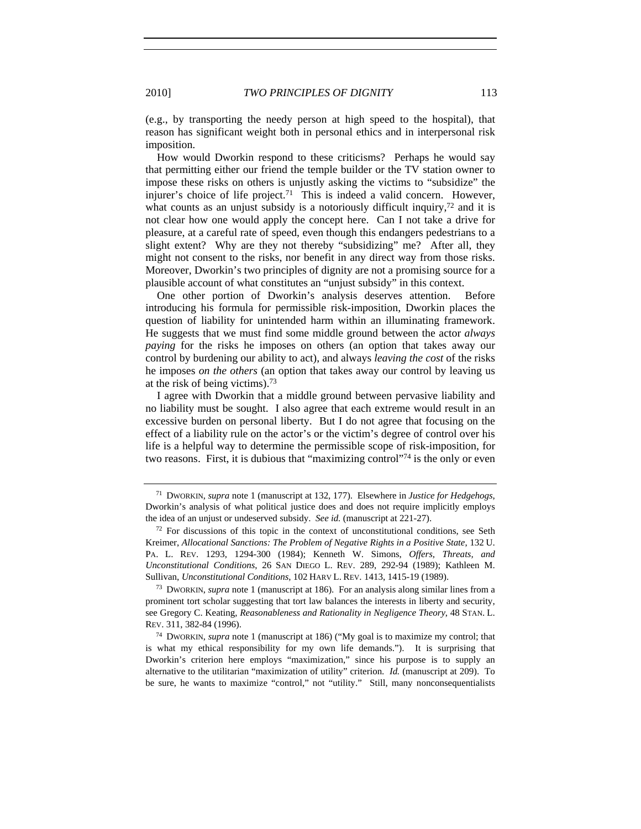(e.g., by transporting the needy person at high speed to the hospital), that reason has significant weight both in personal ethics and in interpersonal risk imposition.

How would Dworkin respond to these criticisms? Perhaps he would say that permitting either our friend the temple builder or the TV station owner to impose these risks on others is unjustly asking the victims to "subsidize" the injurer's choice of life project.<sup>71</sup> This is indeed a valid concern. However, what counts as an unjust subsidy is a notoriously difficult inquiry,<sup>72</sup> and it is not clear how one would apply the concept here. Can I not take a drive for pleasure, at a careful rate of speed, even though this endangers pedestrians to a slight extent? Why are they not thereby "subsidizing" me? After all, they might not consent to the risks, nor benefit in any direct way from those risks. Moreover, Dworkin's two principles of dignity are not a promising source for a plausible account of what constitutes an "unjust subsidy" in this context.

One other portion of Dworkin's analysis deserves attention. Before introducing his formula for permissible risk-imposition, Dworkin places the question of liability for unintended harm within an illuminating framework. He suggests that we must find some middle ground between the actor *always paying* for the risks he imposes on others (an option that takes away our control by burdening our ability to act), and always *leaving the cost* of the risks he imposes *on the others* (an option that takes away our control by leaving us at the risk of being victims).73

I agree with Dworkin that a middle ground between pervasive liability and no liability must be sought. I also agree that each extreme would result in an excessive burden on personal liberty. But I do not agree that focusing on the effect of a liability rule on the actor's or the victim's degree of control over his life is a helpful way to determine the permissible scope of risk-imposition, for two reasons. First, it is dubious that "maximizing control"74 is the only or even

<sup>71</sup> DWORKIN, *supra* note 1 (manuscript at 132, 177). Elsewhere in *Justice for Hedgehogs*, Dworkin's analysis of what political justice does and does not require implicitly employs the idea of an unjust or undeserved subsidy. *See id.* (manuscript at 221-27).

 $72$  For discussions of this topic in the context of unconstitutional conditions, see Seth Kreimer, *Allocational Sanctions: The Problem of Negative Rights in a Positive State*, 132 U. PA. L. REV. 1293, 1294-300 (1984); Kenneth W. Simons, *Offers, Threats, and Unconstitutional Conditions*, 26 SAN DIEGO L. REV. 289, 292-94 (1989); Kathleen M. Sullivan, *Unconstitutional Conditions*, 102 HARV L. REV. 1413, 1415-19 (1989). 73 DWORKIN, *supra* note 1 (manuscript at 186). For an analysis along similar lines from a

prominent tort scholar suggesting that tort law balances the interests in liberty and security, see Gregory C. Keating, *Reasonableness and Rationality in Negligence Theory*, 48 STAN. L. REV. 311, 382-84 (1996).

<sup>74</sup> DWORKIN, *supra* note 1 (manuscript at 186) ("My goal is to maximize my control; that is what my ethical responsibility for my own life demands."). It is surprising that Dworkin's criterion here employs "maximization," since his purpose is to supply an alternative to the utilitarian "maximization of utility" criterion. *Id.* (manuscript at 209). To be sure, he wants to maximize "control," not "utility." Still, many nonconsequentialists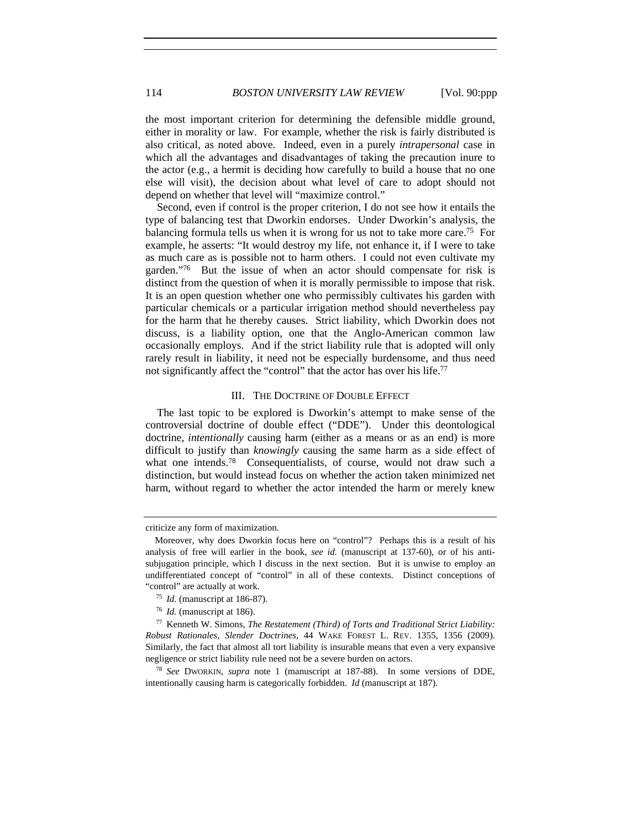the most important criterion for determining the defensible middle ground, either in morality or law. For example, whether the risk is fairly distributed is also critical, as noted above. Indeed, even in a purely *intrapersonal* case in which all the advantages and disadvantages of taking the precaution inure to the actor (e.g., a hermit is deciding how carefully to build a house that no one else will visit), the decision about what level of care to adopt should not depend on whether that level will "maximize control."

Second, even if control is the proper criterion, I do not see how it entails the type of balancing test that Dworkin endorses. Under Dworkin's analysis, the balancing formula tells us when it is wrong for us not to take more care.<sup>75</sup> For example, he asserts: "It would destroy my life, not enhance it, if I were to take as much care as is possible not to harm others. I could not even cultivate my garden."76 But the issue of when an actor should compensate for risk is distinct from the question of when it is morally permissible to impose that risk. It is an open question whether one who permissibly cultivates his garden with particular chemicals or a particular irrigation method should nevertheless pay for the harm that he thereby causes. Strict liability, which Dworkin does not discuss, is a liability option, one that the Anglo-American common law occasionally employs. And if the strict liability rule that is adopted will only rarely result in liability, it need not be especially burdensome, and thus need not significantly affect the "control" that the actor has over his life.<sup>77</sup>

#### III. THE DOCTRINE OF DOUBLE EFFECT

The last topic to be explored is Dworkin's attempt to make sense of the controversial doctrine of double effect ("DDE"). Under this deontological doctrine, *intentionally* causing harm (either as a means or as an end) is more difficult to justify than *knowingly* causing the same harm as a side effect of what one intends.<sup>78</sup> Consequentialists, of course, would not draw such a distinction, but would instead focus on whether the action taken minimized net harm, without regard to whether the actor intended the harm or merely knew

criticize any form of maximization.

Moreover, why does Dworkin focus here on "control"? Perhaps this is a result of his analysis of free will earlier in the book, *see id.* (manuscript at 137-60), or of his antisubjugation principle, which I discuss in the next section. But it is unwise to employ an undifferentiated concept of "control" in all of these contexts. Distinct conceptions of "control" are actually at work. 75 *Id.* (manuscript at 186-87).

<sup>76</sup> *Id.* (manuscript at 186).

<sup>77</sup> Kenneth W. Simons, *The Restatement (Third) of Torts and Traditional Strict Liability: Robust Rationales, Slender Doctrines*, 44 WAKE FOREST L. REV. 1355, 1356 (2009). Similarly, the fact that almost all tort liability is insurable means that even a very expansive negligence or strict liability rule need not be a severe burden on actors. 78 *See* DWORKIN, *supra* note 1 (manuscript at 187-88). In some versions of DDE,

intentionally causing harm is categorically forbidden. *Id* (manuscript at 187).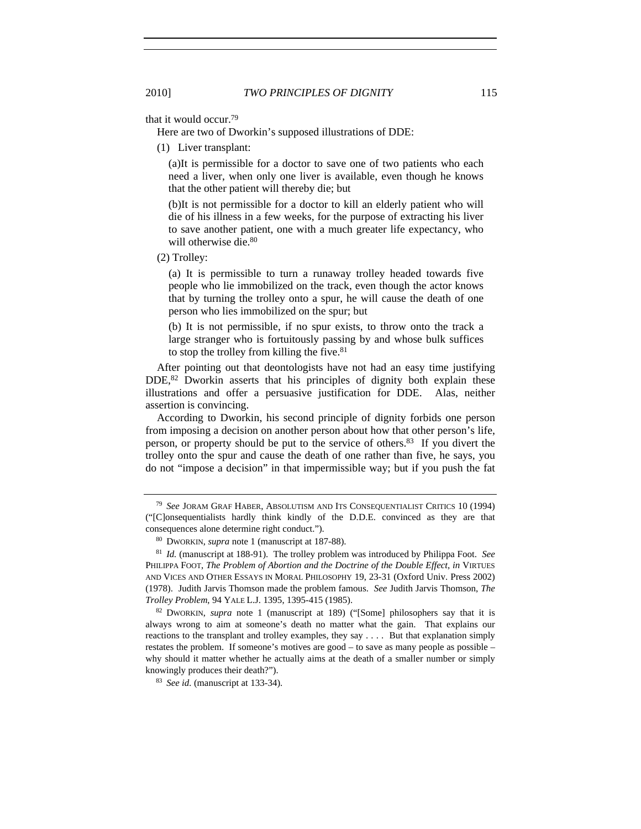that it would occur.79

Here are two of Dworkin's supposed illustrations of DDE:

(1) Liver transplant:

(a)It is permissible for a doctor to save one of two patients who each need a liver, when only one liver is available, even though he knows that the other patient will thereby die; but

(b)It is not permissible for a doctor to kill an elderly patient who will die of his illness in a few weeks, for the purpose of extracting his liver to save another patient, one with a much greater life expectancy, who will otherwise die.<sup>80</sup>

(2) Trolley:

(a) It is permissible to turn a runaway trolley headed towards five people who lie immobilized on the track, even though the actor knows that by turning the trolley onto a spur, he will cause the death of one person who lies immobilized on the spur; but

(b) It is not permissible, if no spur exists, to throw onto the track a large stranger who is fortuitously passing by and whose bulk suffices to stop the trolley from killing the five. $81$ 

After pointing out that deontologists have not had an easy time justifying DDE,82 Dworkin asserts that his principles of dignity both explain these illustrations and offer a persuasive justification for DDE. Alas, neither assertion is convincing.

According to Dworkin, his second principle of dignity forbids one person from imposing a decision on another person about how that other person's life, person, or property should be put to the service of others.83 If you divert the trolley onto the spur and cause the death of one rather than five, he says, you do not "impose a decision" in that impermissible way; but if you push the fat

<sup>79</sup> *See* JORAM GRAF HABER, ABSOLUTISM AND ITS CONSEQUENTIALIST CRITICS 10 (1994) ("[C]onsequentialists hardly think kindly of the D.D.E. convinced as they are that consequences alone determine right conduct.").

<sup>80</sup> DWORKIN, *supra* note 1 (manuscript at 187-88).

<sup>81</sup> *Id.* (manuscript at 188-91). The trolley problem was introduced by Philippa Foot. *See* PHILIPPA FOOT, *The Problem of Abortion and the Doctrine of the Double Effect*, *in* VIRTUES AND VICES AND OTHER ESSAYS IN MORAL PHILOSOPHY 19, 23-31 (Oxford Univ. Press 2002) (1978). Judith Jarvis Thomson made the problem famous. *See* Judith Jarvis Thomson, *The Trolley Problem*, 94 YALE L.J. 1395, 1395-415 (1985).

<sup>82</sup> DWORKIN, *supra* note 1 (manuscript at 189) ("[Some] philosophers say that it is always wrong to aim at someone's death no matter what the gain. That explains our reactions to the transplant and trolley examples, they say . . . . But that explanation simply restates the problem. If someone's motives are good – to save as many people as possible – why should it matter whether he actually aims at the death of a smaller number or simply knowingly produces their death?"). 83 *See id.* (manuscript at 133-34).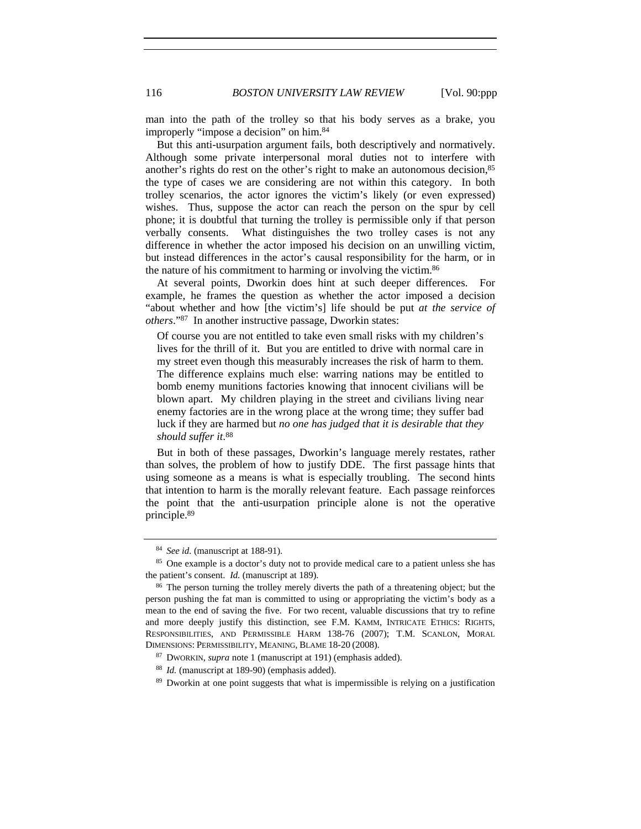man into the path of the trolley so that his body serves as a brake, you improperly "impose a decision" on him.84

But this anti-usurpation argument fails, both descriptively and normatively. Although some private interpersonal moral duties not to interfere with another's rights do rest on the other's right to make an autonomous decision,85 the type of cases we are considering are not within this category. In both trolley scenarios, the actor ignores the victim's likely (or even expressed) wishes. Thus, suppose the actor can reach the person on the spur by cell phone; it is doubtful that turning the trolley is permissible only if that person verbally consents. What distinguishes the two trolley cases is not any difference in whether the actor imposed his decision on an unwilling victim, but instead differences in the actor's causal responsibility for the harm, or in the nature of his commitment to harming or involving the victim.86

At several points, Dworkin does hint at such deeper differences. For example, he frames the question as whether the actor imposed a decision "about whether and how [the victim's] life should be put *at the service of others*."87 In another instructive passage, Dworkin states:

Of course you are not entitled to take even small risks with my children's lives for the thrill of it. But you are entitled to drive with normal care in my street even though this measurably increases the risk of harm to them. The difference explains much else: warring nations may be entitled to bomb enemy munitions factories knowing that innocent civilians will be blown apart. My children playing in the street and civilians living near enemy factories are in the wrong place at the wrong time; they suffer bad luck if they are harmed but *no one has judged that it is desirable that they should suffer it*. 88

But in both of these passages, Dworkin's language merely restates, rather than solves, the problem of how to justify DDE. The first passage hints that using someone as a means is what is especially troubling. The second hints that intention to harm is the morally relevant feature. Each passage reinforces the point that the anti-usurpation principle alone is not the operative principle.89

<sup>&</sup>lt;sup>84</sup> *See id.* (manuscript at 188-91). <sup>85</sup> One example is a doctor's duty not to provide medical care to a patient unless she has the patient's consent. *Id.* (manuscript at 189).

<sup>&</sup>lt;sup>86</sup> The person turning the trolley merely diverts the path of a threatening object; but the person pushing the fat man is committed to using or appropriating the victim's body as a mean to the end of saving the five. For two recent, valuable discussions that try to refine and more deeply justify this distinction, see F.M. KAMM, INTRICATE ETHICS: RIGHTS, RESPONSIBILITIES, AND PERMISSIBLE HARM 138-76 (2007); T.M. SCANLON, MORAL DIMENSIONS: PERMISSIBILITY, MEANING, BLAME 18-20 (2008).

<sup>87</sup> DWORKIN, *supra* note 1 (manuscript at 191) (emphasis added).

<sup>88</sup> *Id.* (manuscript at 189-90) (emphasis added).

<sup>89</sup> Dworkin at one point suggests that what is impermissible is relying on a justification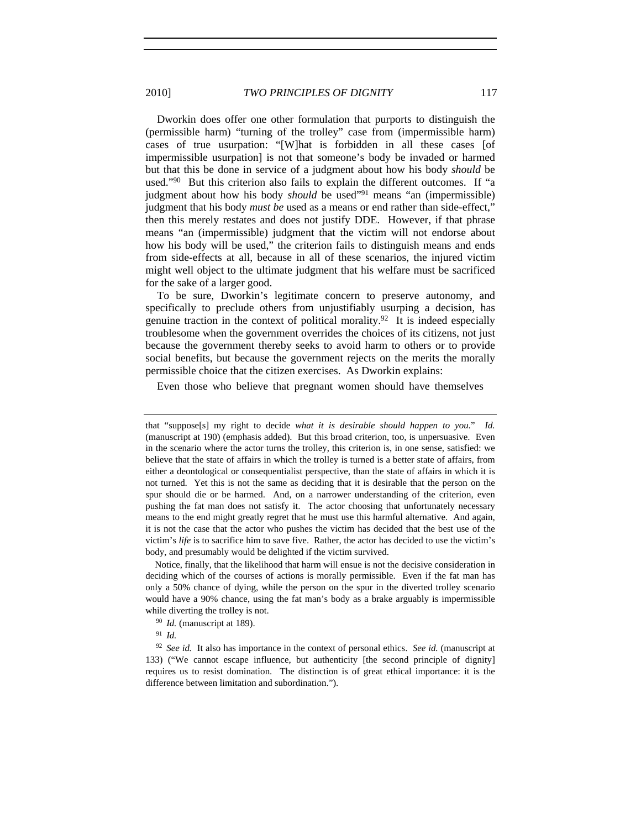2010] *TWO PRINCIPLES OF DIGNITY* 117

Dworkin does offer one other formulation that purports to distinguish the (permissible harm) "turning of the trolley" case from (impermissible harm) cases of true usurpation: "[W]hat is forbidden in all these cases [of impermissible usurpation] is not that someone's body be invaded or harmed but that this be done in service of a judgment about how his body *should* be used."90 But this criterion also fails to explain the different outcomes. If "a judgment about how his body *should* be used<sup>"91</sup> means "an (impermissible) judgment that his body *must be* used as a means or end rather than side-effect," then this merely restates and does not justify DDE. However, if that phrase means "an (impermissible) judgment that the victim will not endorse about how his body will be used," the criterion fails to distinguish means and ends from side-effects at all, because in all of these scenarios, the injured victim might well object to the ultimate judgment that his welfare must be sacrificed for the sake of a larger good.

To be sure, Dworkin's legitimate concern to preserve autonomy, and specifically to preclude others from unjustifiably usurping a decision, has genuine traction in the context of political morality.92 It is indeed especially troublesome when the government overrides the choices of its citizens, not just because the government thereby seeks to avoid harm to others or to provide social benefits, but because the government rejects on the merits the morally permissible choice that the citizen exercises. As Dworkin explains:

Even those who believe that pregnant women should have themselves

Notice, finally, that the likelihood that harm will ensue is not the decisive consideration in deciding which of the courses of actions is morally permissible. Even if the fat man has only a 50% chance of dying, while the person on the spur in the diverted trolley scenario would have a 90% chance, using the fat man's body as a brake arguably is impermissible while diverting the trolley is not.<br><sup>90</sup> *Id.* (manuscript at 189).

<sup>91</sup> *Id.*

that "suppose[s] my right to decide *what it is desirable should happen to you*." *Id.* (manuscript at 190) (emphasis added). But this broad criterion, too, is unpersuasive. Even in the scenario where the actor turns the trolley, this criterion is, in one sense, satisfied: we believe that the state of affairs in which the trolley is turned is a better state of affairs, from either a deontological or consequentialist perspective, than the state of affairs in which it is not turned. Yet this is not the same as deciding that it is desirable that the person on the spur should die or be harmed. And, on a narrower understanding of the criterion, even pushing the fat man does not satisfy it. The actor choosing that unfortunately necessary means to the end might greatly regret that he must use this harmful alternative. And again, it is not the case that the actor who pushes the victim has decided that the best use of the victim's *life* is to sacrifice him to save five. Rather, the actor has decided to use the victim's body, and presumably would be delighted if the victim survived.

<sup>92</sup> *See id.* It also has importance in the context of personal ethics. *See id.* (manuscript at 133) ("We cannot escape influence, but authenticity [the second principle of dignity] requires us to resist domination. The distinction is of great ethical importance: it is the difference between limitation and subordination.").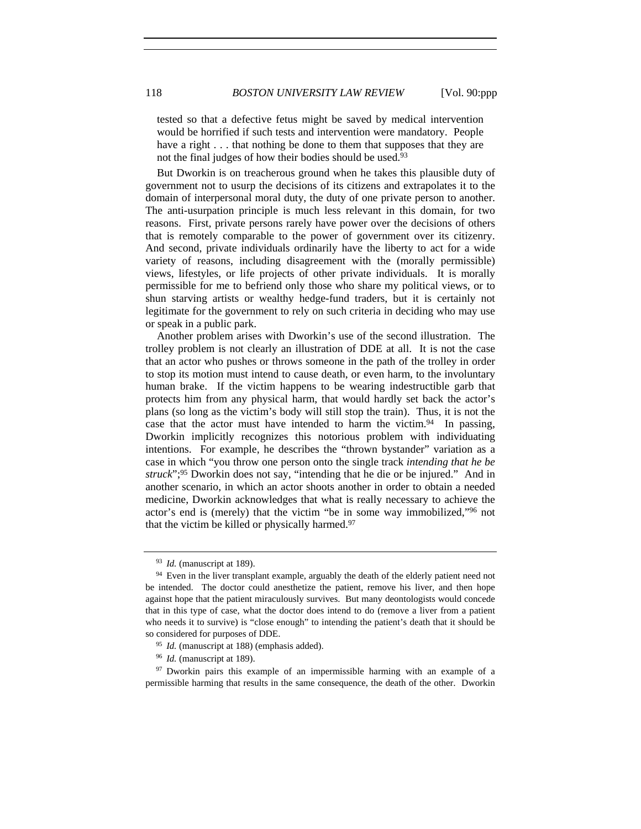tested so that a defective fetus might be saved by medical intervention would be horrified if such tests and intervention were mandatory. People have a right . . . that nothing be done to them that supposes that they are not the final judges of how their bodies should be used.<sup>93</sup>

But Dworkin is on treacherous ground when he takes this plausible duty of government not to usurp the decisions of its citizens and extrapolates it to the domain of interpersonal moral duty, the duty of one private person to another. The anti-usurpation principle is much less relevant in this domain, for two reasons. First, private persons rarely have power over the decisions of others that is remotely comparable to the power of government over its citizenry. And second, private individuals ordinarily have the liberty to act for a wide variety of reasons, including disagreement with the (morally permissible) views, lifestyles, or life projects of other private individuals. It is morally permissible for me to befriend only those who share my political views, or to shun starving artists or wealthy hedge-fund traders, but it is certainly not legitimate for the government to rely on such criteria in deciding who may use or speak in a public park.

Another problem arises with Dworkin's use of the second illustration. The trolley problem is not clearly an illustration of DDE at all. It is not the case that an actor who pushes or throws someone in the path of the trolley in order to stop its motion must intend to cause death, or even harm, to the involuntary human brake. If the victim happens to be wearing indestructible garb that protects him from any physical harm, that would hardly set back the actor's plans (so long as the victim's body will still stop the train). Thus, it is not the case that the actor must have intended to harm the victim.<sup>94</sup> In passing, Dworkin implicitly recognizes this notorious problem with individuating intentions. For example, he describes the "thrown bystander" variation as a case in which "you throw one person onto the single track *intending that he be struck*";95 Dworkin does not say, "intending that he die or be injured." And in another scenario, in which an actor shoots another in order to obtain a needed medicine, Dworkin acknowledges that what is really necessary to achieve the actor's end is (merely) that the victim "be in some way immobilized,"96 not that the victim be killed or physically harmed.<sup>97</sup>

<sup>97</sup> Dworkin pairs this example of an impermissible harming with an example of a permissible harming that results in the same consequence, the death of the other. Dworkin

<sup>93</sup> *Id.* (manuscript at 189).

<sup>&</sup>lt;sup>94</sup> Even in the liver transplant example, arguably the death of the elderly patient need not be intended. The doctor could anesthetize the patient, remove his liver, and then hope against hope that the patient miraculously survives. But many deontologists would concede that in this type of case, what the doctor does intend to do (remove a liver from a patient who needs it to survive) is "close enough" to intending the patient's death that it should be so considered for purposes of DDE. 95 *Id.* (manuscript at 188) (emphasis added).

<sup>96</sup> *Id.* (manuscript at 189).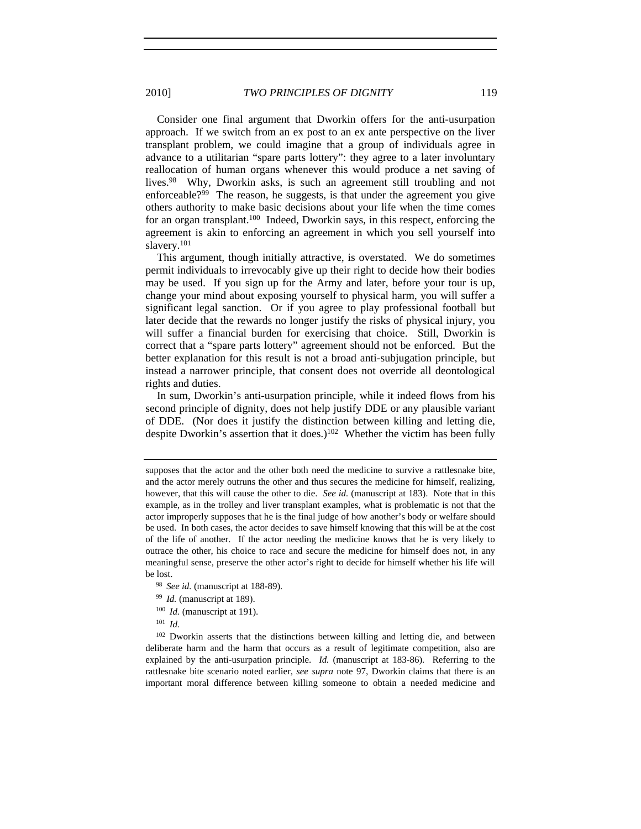2010] *TWO PRINCIPLES OF DIGNITY* 119

Consider one final argument that Dworkin offers for the anti-usurpation approach. If we switch from an ex post to an ex ante perspective on the liver transplant problem, we could imagine that a group of individuals agree in advance to a utilitarian "spare parts lottery": they agree to a later involuntary reallocation of human organs whenever this would produce a net saving of lives.98 Why, Dworkin asks, is such an agreement still troubling and not enforceable?99 The reason, he suggests, is that under the agreement you give others authority to make basic decisions about your life when the time comes for an organ transplant.<sup>100</sup> Indeed, Dworkin says, in this respect, enforcing the agreement is akin to enforcing an agreement in which you sell yourself into slavery.101

This argument, though initially attractive, is overstated. We do sometimes permit individuals to irrevocably give up their right to decide how their bodies may be used. If you sign up for the Army and later, before your tour is up, change your mind about exposing yourself to physical harm, you will suffer a significant legal sanction. Or if you agree to play professional football but later decide that the rewards no longer justify the risks of physical injury, you will suffer a financial burden for exercising that choice. Still, Dworkin is correct that a "spare parts lottery" agreement should not be enforced. But the better explanation for this result is not a broad anti-subjugation principle, but instead a narrower principle, that consent does not override all deontological rights and duties.

In sum, Dworkin's anti-usurpation principle, while it indeed flows from his second principle of dignity, does not help justify DDE or any plausible variant of DDE. (Nor does it justify the distinction between killing and letting die, despite Dworkin's assertion that it does.)<sup>102</sup> Whether the victim has been fully

- 
- 
- <sup>100</sup> *Id.* (manuscript at 191).
- <sup>101</sup> *Id.*

<sup>102</sup> Dworkin asserts that the distinctions between killing and letting die, and between deliberate harm and the harm that occurs as a result of legitimate competition, also are explained by the anti-usurpation principle. *Id.* (manuscript at 183-86)*.* Referring to the rattlesnake bite scenario noted earlier, *see supra* note 97, Dworkin claims that there is an important moral difference between killing someone to obtain a needed medicine and

supposes that the actor and the other both need the medicine to survive a rattlesnake bite, and the actor merely outruns the other and thus secures the medicine for himself, realizing, however, that this will cause the other to die. *See id.* (manuscript at 183). Note that in this example, as in the trolley and liver transplant examples, what is problematic is not that the actor improperly supposes that he is the final judge of how another's body or welfare should be used. In both cases, the actor decides to save himself knowing that this will be at the cost of the life of another. If the actor needing the medicine knows that he is very likely to outrace the other, his choice to race and secure the medicine for himself does not, in any meaningful sense, preserve the other actor's right to decide for himself whether his life will be lost. 98 *See id.* (manuscript at 188-89). 99 *Id.* (manuscript at 189).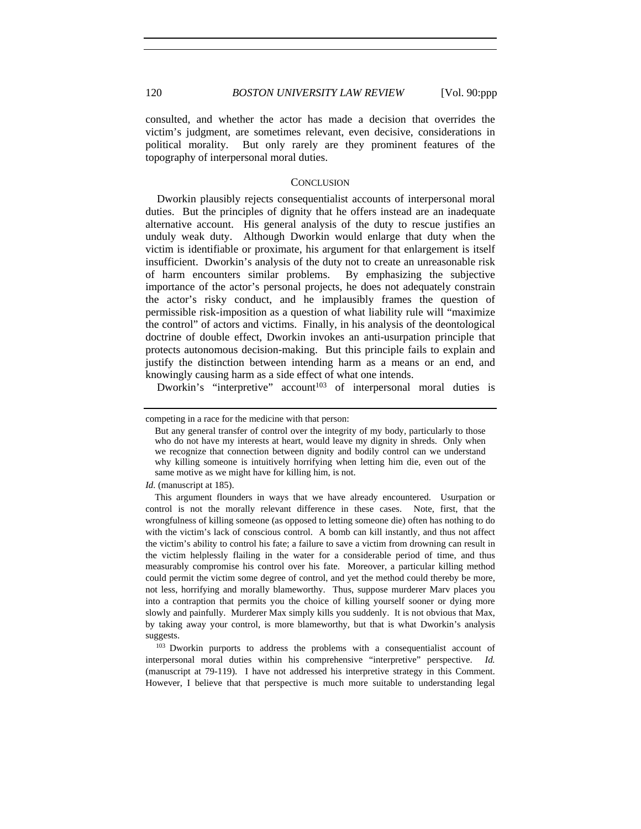consulted, and whether the actor has made a decision that overrides the victim's judgment, are sometimes relevant, even decisive, considerations in political morality. But only rarely are they prominent features of the topography of interpersonal moral duties.

#### **CONCLUSION**

Dworkin plausibly rejects consequentialist accounts of interpersonal moral duties. But the principles of dignity that he offers instead are an inadequate alternative account. His general analysis of the duty to rescue justifies an unduly weak duty. Although Dworkin would enlarge that duty when the victim is identifiable or proximate, his argument for that enlargement is itself insufficient. Dworkin's analysis of the duty not to create an unreasonable risk of harm encounters similar problems. By emphasizing the subjective importance of the actor's personal projects, he does not adequately constrain the actor's risky conduct, and he implausibly frames the question of permissible risk-imposition as a question of what liability rule will "maximize the control" of actors and victims. Finally, in his analysis of the deontological doctrine of double effect, Dworkin invokes an anti-usurpation principle that protects autonomous decision-making. But this principle fails to explain and justify the distinction between intending harm as a means or an end, and knowingly causing harm as a side effect of what one intends.

Dworkin's "interpretive" account<sup>103</sup> of interpersonal moral duties is

suggests. 103 Dworkin purports to address the problems with a consequentialist account of interpersonal moral duties within his comprehensive "interpretive" perspective. *Id.* (manuscript at 79-119). I have not addressed his interpretive strategy in this Comment. However, I believe that that perspective is much more suitable to understanding legal

competing in a race for the medicine with that person:

But any general transfer of control over the integrity of my body, particularly to those who do not have my interests at heart, would leave my dignity in shreds. Only when we recognize that connection between dignity and bodily control can we understand why killing someone is intuitively horrifying when letting him die, even out of the same motive as we might have for killing him, is not.

*Id.* (manuscript at 185).

This argument flounders in ways that we have already encountered. Usurpation or control is not the morally relevant difference in these cases. Note, first, that the wrongfulness of killing someone (as opposed to letting someone die) often has nothing to do with the victim's lack of conscious control. A bomb can kill instantly, and thus not affect the victim's ability to control his fate; a failure to save a victim from drowning can result in the victim helplessly flailing in the water for a considerable period of time, and thus measurably compromise his control over his fate. Moreover, a particular killing method could permit the victim some degree of control, and yet the method could thereby be more, not less, horrifying and morally blameworthy. Thus, suppose murderer Marv places you into a contraption that permits you the choice of killing yourself sooner or dying more slowly and painfully. Murderer Max simply kills you suddenly. It is not obvious that Max, by taking away your control, is more blameworthy, but that is what Dworkin's analysis